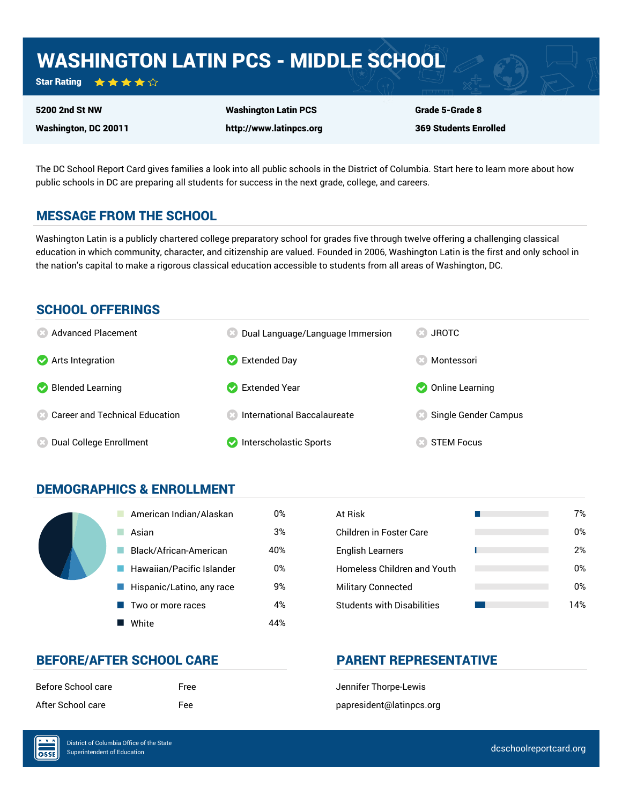# WASHINGTON LATIN PCS - MIDDLE SCHOOL

Star Rating  $\star \star \star \star \sim$ 

Washington, DC 20011

5200 2nd St NW

Washington Latin PCS http://www.latinpcs.org Grade 5-Grade 8 369 Students Enrolled

The DC School Report Card gives families a look into all public schools in the District of Columbia. Start here to learn more about how public schools in DC are preparing all students for success in the next grade, college, and careers.

### MESSAGE FROM THE SCHOOL

Washington Latin is a publicly chartered college preparatory school for grades five through twelve offering a challenging classical education in which community, character, and citizenship are valued. Founded in 2006, Washington Latin is the first and only school in the nation's capital to make a rigorous classical education accessible to students from all areas of Washington, DC.

### SCHOOL OFFERINGS



### DEMOGRAPHICS & ENROLLMENT

|  | American Indian/Alaskan   | 0%  | At Risk                            |
|--|---------------------------|-----|------------------------------------|
|  | Asian                     | 3%  | Children in Foster Care            |
|  | Black/African-American    | 40% | <b>English Learners</b>            |
|  | Hawaiian/Pacific Islander | 0%  | <b>Homeless Children and Youth</b> |
|  | Hispanic/Latino, any race | 9%  | <b>Military Connected</b>          |
|  | Two or more races         | 4%  | <b>Students with Disabilities</b>  |
|  | White                     | 44% |                                    |

| At Risk                           | 7%  |
|-----------------------------------|-----|
| Children in Foster Care           | 0%  |
| <b>English Learners</b>           | 2%  |
| Homeless Children and Youth       | 0%  |
| <b>Military Connected</b>         | 0%  |
| <b>Students with Disabilities</b> | 14% |

### BEFORE/AFTER SCHOOL CARE **PARENT REPRESENTATIVE**

| Before School care |  |
|--------------------|--|
| After School care  |  |

Free Jennifer Thorpe-Lewis Fee papresident@latinpcs.org